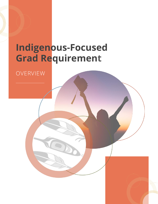# **Indigenous-Focused Grad Requirement**

OVERVIEW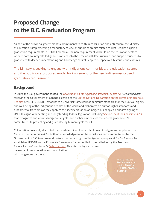## **Proposed Change to the B.C. Graduation Program**

As part of the provincial government's commitments to truth, reconciliation and anti-racism, the Ministry of Education is implementing a mandatory course or bundle of credits related to First Peoples as part of graduation requirements in British Columbia. The new requirement will build on the education sector's work to date, to integrate Indigenous content into the provincial K-12 curriculum, and support students to graduate with deeper understanding and knowledge of First Peoples perspectives, histories, and cultures.

The Ministry is seeking to engage with Indigenous communities, the education sector, and the public on a proposed model for implementing the new Indigenous-focused graduation requirement.

## **Background**

In 2019, the B.C. government passed the *[Declaration on the Rights of Indigenous Peoples Act](https://www.bclaws.gov.bc.ca/civix/document/id/complete/statreg/19044) (Declaration Act)*  following the Government of Canada's signing of the United Nations Declaration on the Rights of Indigenous [Peoples](https://www.un.org/esa/socdev/unpfii/documents/DRIPS_en.pdf) (UNDRIP). UNDRIP establishes a universal framework of minimum standards for the survival, dignity and well-being of the Indigenous peoples of the world and elaborates on human rights standards and fundamental freedoms as they apply to the specific situation of Indigenous peoples. Canada's signing of UNDRIP aligns with existing and longstanding federal legislation, includin[g Section 35 of the](https://laws-lois.justice.gc.ca/eng/const/page-13.html) *Constitution Act* that recognizes and affirms Indigenous rights, and further emphasises the federal government's commitment to protecting and guaranteeing human rights for all.

Colonization drastically disrupted the self-determined lives and cultures of Indigenous peoples across Canada. The *Declaration Act* is both an acknowledgment of these histories and a commitment by the Government of B.C. to affirm and restore the human rights of Indigenous peoples. *B.C.'s Declaration Act*  establishes UNDRIP as the Province's framework for reconciliation, as called for by the Truth and Reconciliation Commission's [Calls to Action.](https://www2.gov.bc.ca/assets/gov/british-columbians-our-governments/indigenous-people/aboriginal-peoples-documents/calls_to_action_english2.pdf) This historic legislation was developed in collaboration and consultation with Indigenous partners.

> **DECLARATION** n the **RIGHTS** of **INDIGENOUS PEOPLES**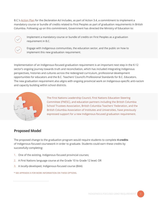B.C.'s [Action Plan](https://engage.gov.bc.ca/app/uploads/sites/121/2022/03/declaration_act_action_plan.pdf) for the *Declaration Act* includes, as part of Action 3.4, a commitment to implement a mandatory course or bundle of credits related to First Peoples as part of graduation requirements in British Columbia. Following up on this commitment, Government has directed the Ministry of Education to:



Implement a mandatory course or bundle of credits on First Peoples as a graduation requirement in B.C.

Engage with Indigenous communities, the education sector, and the public on how to implement this new graduation requirement.

Implementation of an Indigenous-focused graduation requirement is an important next step in the K-12 sector's ongoing journey towards truth and reconciliation, which has included integrating Indigenous perspectives, histories and cultures across the redesigned curriculum, professional development opportunities for educators and the B.C. Teachers' Council's Professional Standards for B.C. Educators. The new graduation requirement also aligns with ongoing provincial work on Indigenous-specific anti-racism and capacity building within school districts.



The First Nations Leadership Council, First Nations Education Steering Committee (FNESC), and education partners including the British Columbia School Trustees Association, British Columbia Teachers' Federation, and the British Columbia Association of Institutes and Universities, have previously expressed support for a new Indigenous-focused graduation requirement.

## **Proposed Model**

The proposed change to the graduation program would require students to complete **4 credits**  of Indigenous-focused coursework in order to graduate. Students could earn these credits by successfully completing:

- 1. One of the existing, Indigenous-focused provincial courses;
- 2. A First Nations language course at the Grade 10 to Grade 12 level; OR
- 3. A locally-developed, Indigenous-focused course (BAA)
- \* SEE APPENDIX A FOR MORE INFORMATION ON THESE OPTIONS.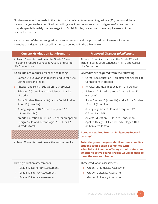No changes would be made to the total number of credits required to graduate (80), nor would there be any changes to the Adult Graduation Program. In some instances, an Indigenous-focused course may also partially satisfy the Language Arts, Social Studies, or elective course requirements of the graduation program.

A comparison of the current graduation requirements and the proposed requirements, including 4 credits of Indigenous-focused learning can be found in the table below.

| <b>Current Graduation Requirements</b>                                                                                              | <b>Proposed Changes (highlighted)</b>                                                                                                                                                                                          |
|-------------------------------------------------------------------------------------------------------------------------------------|--------------------------------------------------------------------------------------------------------------------------------------------------------------------------------------------------------------------------------|
| At least 16 credits must be at the Grade 12 level,<br>including a required Language Arts 12 and Career<br>Life Connections          | At least 16 credits must be at the Grade 12 level,<br>including a required Language Arts 12 and Career<br>Life Connections                                                                                                     |
| 52 credits are required from the following:                                                                                         | 52 credits are required from the following:                                                                                                                                                                                    |
| Career-Life Education (4 credits), and Career-Life<br>$\circ$<br>Connections (4 credits)                                            | Career-Life Education (4 credits), and Career-Life<br>Connections (4 credits)                                                                                                                                                  |
| Physical and Health Education 10 (4 credits)<br>$\circ$                                                                             | Physical and Health Education 10 (4 credits)<br>$\circ$                                                                                                                                                                        |
| Science 10 (4 credits), and a Science 11 or 12<br>$\circ$<br>(4 credits)                                                            | Science 10 (4 credits), and a Science 11 or 12<br>$\circ$<br>(4 credits)                                                                                                                                                       |
| Social Studies 10 (4 credits), and a Social Studies<br>$\circ$<br>11 or 12 (4 credits)                                              | Social Studies 10 (4 credits), and a Social Studies<br>11 or 12 (4 credits)                                                                                                                                                    |
| A Language Arts 10, 11 and a required 12<br>$\circ$<br>(12 credits total)                                                           | o A Language Arts 10, 11 and a required 12<br>(12 credits total)                                                                                                                                                               |
| An Arts Education 10, 11, or 12 and/or an Applied<br>$\circ$<br>Design, Skills, and Technologies 10, 11, or 12<br>(4 credits total) | An Arts Education 10, 11, or 12 and/or an<br>$\circ$<br>Applied Design, Skills, and Technologies 10, 11,<br>or 12 (4 credits total)                                                                                            |
|                                                                                                                                     | 4 credits required from an Indigenous-focused<br>course(s)                                                                                                                                                                     |
| At least 28 credits must be elective course credits                                                                                 | Potentially no change to elective course credits -<br>student course choice combined with<br>school/district course offerings would determine<br>whether elective course credits would be used to<br>meet the new requirement. |
| Three graduation assessments:                                                                                                       | Three graduation assessments:                                                                                                                                                                                                  |
| Grade 10 Numeracy Assessment<br>$\rightarrow$                                                                                       | Grade 10 Numeracy Assessment<br>$\rightarrow$                                                                                                                                                                                  |
| Grade 10 Literacy Assessment<br>$\rightarrow$                                                                                       | Grade 10 Literacy Assessment<br>$\rightarrow$                                                                                                                                                                                  |
| Grade 12 Literacy Assessment<br>$\rightarrow$                                                                                       | Grade 12 Literacy Assessment<br>$\rightarrow$                                                                                                                                                                                  |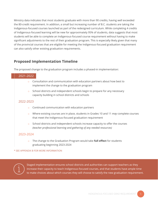Ministry data indicates that most students graduate with more than 90 credits, having well exceeded the 80-credit requirement. In addition, a small but increasing number of B.C. students are taking the Indigenous-focused courses launched as part of the redesigned curriculum. While completing 4 credits of Indigenous-focused learning will be new for approximately 95% of students, data suggests that most students will be able to complete an Indigenous-focused course requirement without having to make significant adjustments to the rest of their graduation program. This is especially likely given that many of the provincial courses that are eligible for meeting the Indigenous-focused graduation requirement can also satisfy other existing graduation requirements.

## **Proposed Implementation Timeline**

The proposed change to the graduation program includes a phased-in implementation:

### 2021-2022

- $\circ$  Consultation and communication with education partners about how best to implement the change to the graduation program
- School districts and independent schools begin to prepare for any necessary capacity building in school districts and schools

## 2022-2023

- o Continued communication with education partners
- o Where existing courses are in place, students in Grades 10 and 11 *may* complete courses that meet the Indigenous-focused graduation requirement
- School districts and independent schools increase capacity to offer the courses *(teacher professional learning and gathering of any needed resources)*

## 2023-2024

o The change to the Graduation Program would take **full effect** for students graduating beginning 2023-2024

#### \* SEE APPENDIX B FOR MORE INFORMATION



Staged implementation ensures school districts and authorities can support teachers as they increase their capacity to teach Indigenous-focused courses, and that students have ample time to make choices about which courses they will choose to satisfy the new graduation requirement.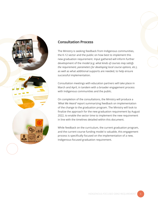

## **Consultation Process**

The Ministry is seeking feedback from Indigenous communities, the K-12 sector and the public on how best to implement this new graduation requirement. Input gathered will inform further development of the model (*e.g. what kinds of courses may satisfy the requirement, parameters for developing local course options, etc.),* as well as what additional supports are needed, to help ensure successful implementation.

Consultation meetings with education partners will take place in March and April, in tandem with a broader engagement process with Indigenous communities and the public.

On completion of the consultations, the Ministry will produce a *'What We Heard'* report summarizing feedback on implementation of the change to the graduation program. The Ministry will look to finalize the approach for the new graduation requirement by August 2022, to enable the sector time to implement the new requirement in line with the timelines detailed within this document.

While feedback on the curriculum, the current graduation program, and the current course funding model is valuable, this engagement process is specifically focused on the implementation of a new, Indigenous-focused graduation requirement.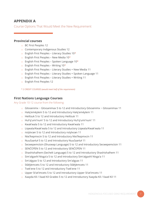## **APPENDIX A**

Course Options That Would Meet the New Requirement

#### **Provincial courses**

- o BC First Peoples 12
- o Contemporary Indigenous Studies 12
- $\circ$  English First Peoples Literacy Studies 10\*
- $\circ$  English First Peoples New Media 10\*
- $\circ$  English First Peoples Spoken Language 10\*
- o English First Peoples Writing 10\*
- o English First Peoples Literary Studies + New Media 11
- o English First Peoples Literary Studies + Spoken Language 11
- o English First Peoples Literary Studies + Writing 11
- o English First Peoples 12

\* 2 CREDIT COURSES (*would meet half of the requirement)*

## **First Nations Language Courses**

#### Any Grade 10-12 course from the following:

- $\circ$  Gitxsenimx ~ Gitxsanimax 5 to 12 and Introductory Gitxsenimx ~ Gitxsanimax 11
- o Halq'eméylem 5 to 12 and Introductory Halq'eméylem 11
- o Heiltsuk 5 to 12 and Introductory Heiltsuk 11
- o Hul'q'umi'num' 5 to 12 and Introductory Hul'q'umi'num' 11
- o Kwak'wala 5 to 12 and Introductory Kwak'wala 11
- o Liqwala/Kwak'wala 5 to 12 and Introductory Liqwala/Kwak'wala 11
- o nsíylxcən 5 to 12 and Introductory nsíylxcən 11
- o Nte?kepmxcin 5 to 12 and Introductory Nte?kepmxcin 11
- o Nuučaan̓uɫ 5 to 12 and Introductory Nuučaan̓uɫ 11
- o Secwepemctsin (Shuswap Language) 5 to 12 and Introductory Secwepemctsin 11
- o SENĆOŦEN 5 to 12 and Introductory SENĆOŦEN 11
- o Shashishalhem (Sechelt Language) 5 to 12 and Introductory Shashishalhem 11
- o Sim'algaxhl Nisga'a 5 to 12 and Introductory Sim'algaxhl Nisga'a 11
- o Sm'algyax 5 to 12 and Introductory Sm'algyax 11
- o St̓át̓y̓emcets 5 to 12 and Introductory St̓át̓y̓emcets 11
- o Tsek'ene 5 to 12 and Introductory Tsek'ene 11
- o Upper St'at'imcets 5 to 12 and Introductory Upper St'at'imcets 11
- o Xaayda Kil / Xaad Kil Grades 5 to 12 and Introductory Xaayda Kil / Xaad Kil 11